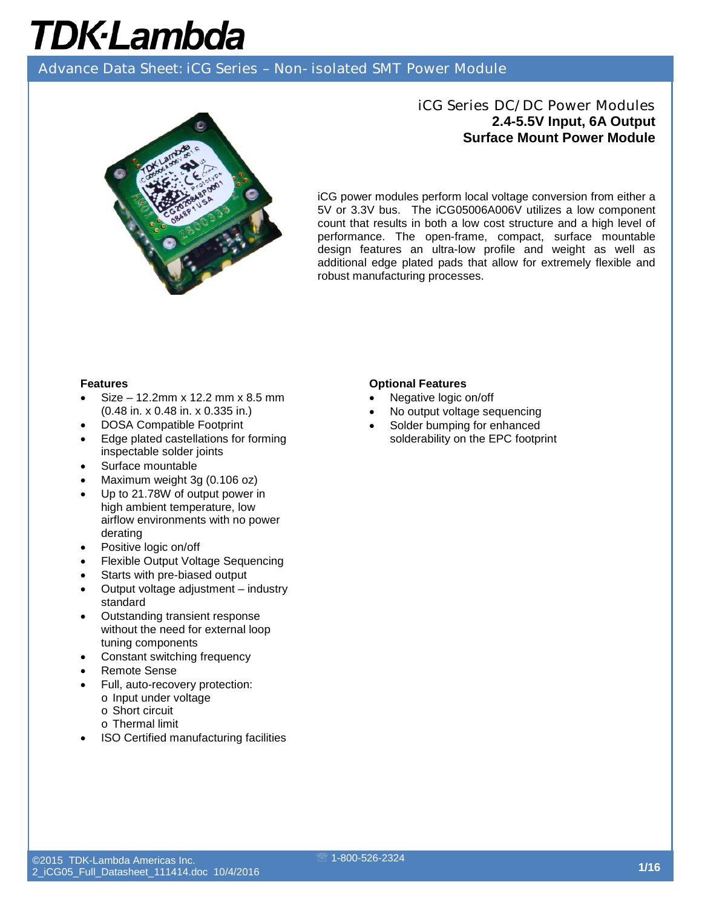### Advance Data Sheet: iCG Series – Non-isolated SMT Power Module



### iCG Series DC/DC Power Modules **2.4-5.5V Input, 6A Output Surface Mount Power Module**

iCG power modules perform local voltage conversion from either a 5V or 3.3V bus. The iCG05006A006V utilizes a low component count that results in both a low cost structure and a high level of performance. The open-frame, compact, surface mountable design features an ultra-low profile and weight as well as additional edge plated pads that allow for extremely flexible and robust manufacturing processes.

#### **Features**

- Size 12.2mm x 12.2 mm x 8.5 mm (0.48 in. x 0.48 in. x 0.335 in.)
- DOSA Compatible Footprint
- Edge plated castellations for forming inspectable solder joints
- Surface mountable
- Maximum weight 3g (0.106 oz)
- Up to 21.78W of output power in high ambient temperature, low airflow environments with no power derating
- Positive logic on/off
- Flexible Output Voltage Sequencing
- Starts with pre-biased output
- Output voltage adjustment industry standard
- Outstanding transient response without the need for external loop tuning components
- Constant switching frequency
- Remote Sense
- Full, auto-recovery protection:
	- o Input under voltage
	- o Short circuit
	- o Thermal limit
- ISO Certified manufacturing facilities

#### **Optional Features**

- Negative logic on/off
- No output voltage sequencing
- Solder bumping for enhanced solderability on the EPC footprint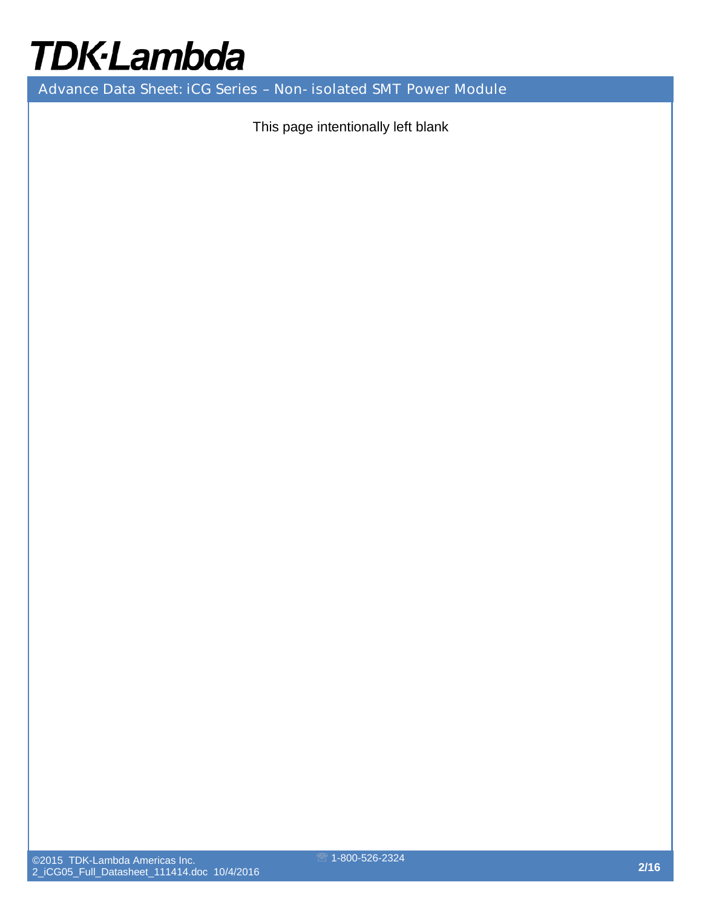Advance Data Sheet: iCG Series – Non-isolated SMT Power Module

This page intentionally left blank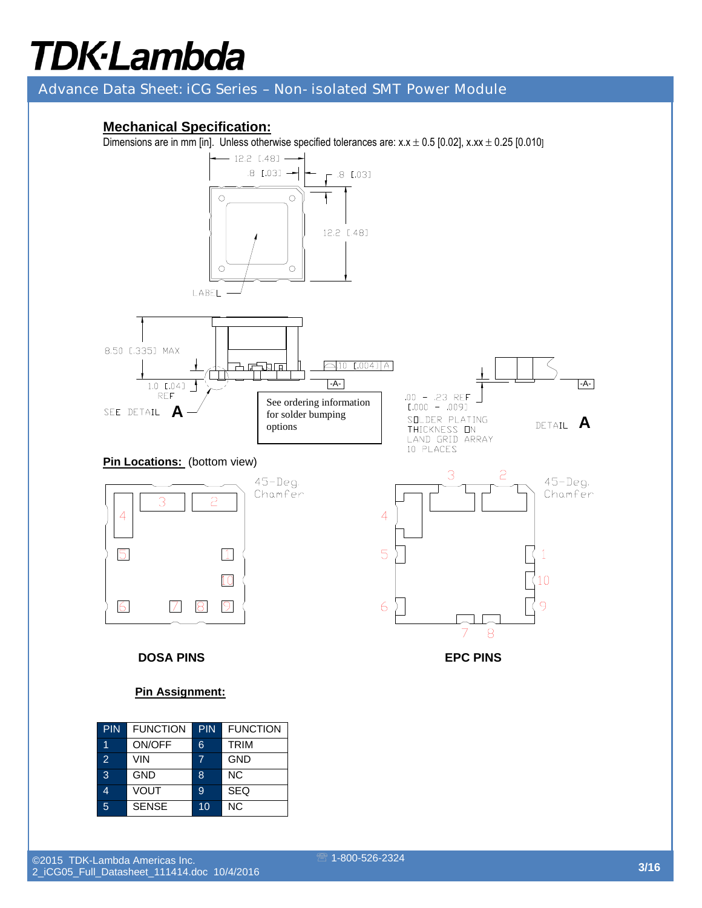Advance Data Sheet: iCG Series – Non-isolated SMT Power Module

### **Mechanical Specification:**

Dimensions are in mm [in]. Unless otherwise specified tolerances are:  $x.x \pm 0.5$  [0.02],  $x.x \pm 0.25$  [0.010]



| <b>PIN</b>     | <b>FUNCTION</b> | PIN. | <b>FUNCTION</b> |
|----------------|-----------------|------|-----------------|
|                | ON/OFF          | 6    | <b>TRIM</b>     |
| $\overline{2}$ | <b>VIN</b>      |      | <b>GND</b>      |
| $\overline{3}$ | <b>GND</b>      | 8    | <b>NC</b>       |
| 4.             | <b>VOUT</b>     | 9    | <b>SEQ</b>      |
| 5              | <b>SENSE</b>    | 10   | <b>NC</b>       |

℡ 1-800-526-2324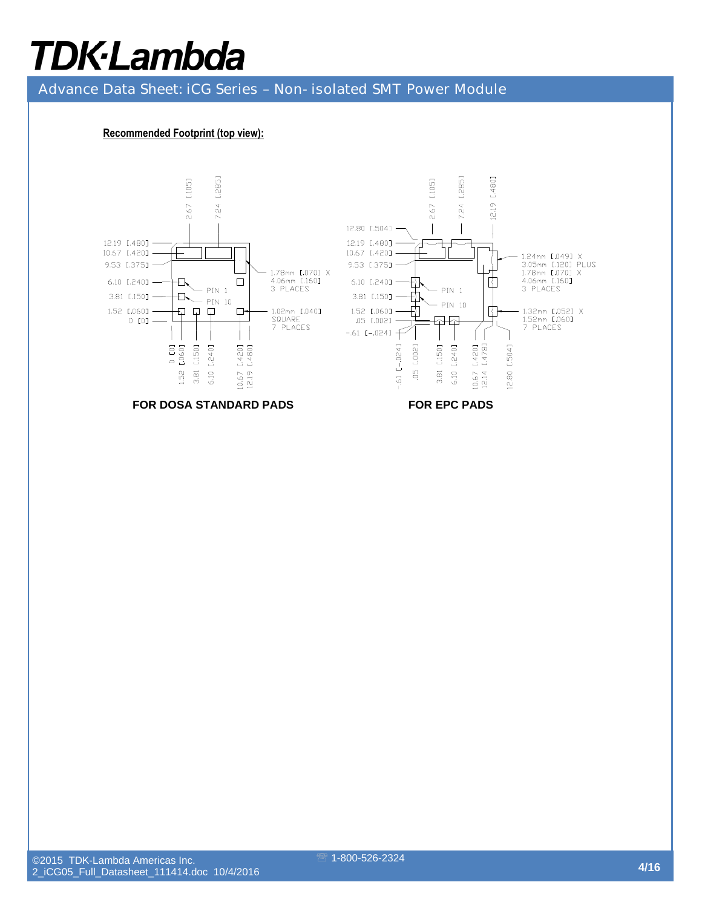Advance Data Sheet: iCG Series – Non-isolated SMT Power Module

#### **Recommended Footprint (top view):**



©2015 TDK-Lambda Americas Inc. 2\_iCG05\_Full\_Datasheet\_111414.doc 10/4/2016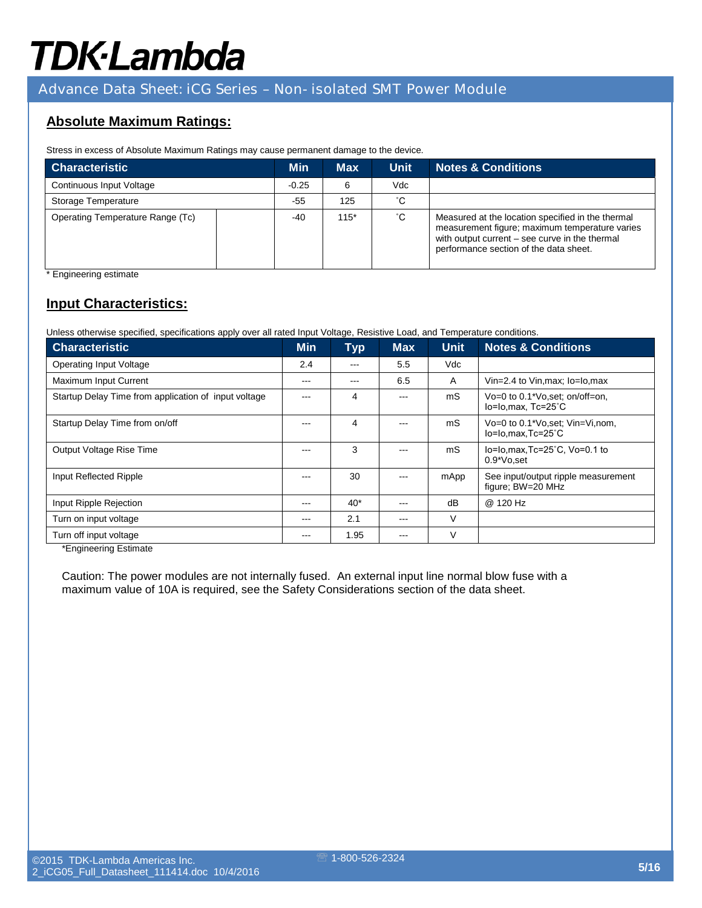## Advance Data Sheet: iCG Series – Non-isolated SMT Power Module

## **Absolute Maximum Ratings:**

#### Stress in excess of Absolute Maximum Ratings may cause permanent damage to the device.

| <b>Characteristic</b>            | <b>Min</b> | <b>Max</b> | <b>Unit</b> | <b>Notes &amp; Conditions</b>                                                                                                                                                                   |
|----------------------------------|------------|------------|-------------|-------------------------------------------------------------------------------------------------------------------------------------------------------------------------------------------------|
| Continuous Input Voltage         | $-0.25$    |            | Vdc         |                                                                                                                                                                                                 |
| Storage Temperature              | -55        | 125        | °С          |                                                                                                                                                                                                 |
| Operating Temperature Range (Tc) | $-40$      | $115*$     | °С          | Measured at the location specified in the thermal<br>measurement figure; maximum temperature varies<br>with output current - see curve in the thermal<br>performance section of the data sheet. |

\* Engineering estimate

### **Input Characteristics:**

Unless otherwise specified, specifications apply over all rated Input Voltage, Resistive Load, and Temperature conditions.

| <b>Characteristic</b>                                | <b>Min</b> | <b>Typ</b> | <b>Max</b> | <b>Unit</b> | <b>Notes &amp; Conditions</b>                                        |
|------------------------------------------------------|------------|------------|------------|-------------|----------------------------------------------------------------------|
| Operating Input Voltage                              | 2.4        | $- - -$    | 5.5        | Vdc         |                                                                      |
| Maximum Input Current                                | ---        | ---        | 6.5        | A           | Vin=2.4 to Vin, max; lo=lo, max                                      |
| Startup Delay Time from application of input voltage |            | 4          | $---$      | mS          | Vo=0 to 0.1*Vo, set; on/off=on,<br>$lo = Io$ .max. $Tc = 25^\circ C$ |
| Startup Delay Time from on/off                       |            | 4          |            | mS          | Vo=0 to 0.1*Vo, set; Vin=Vi, nom,<br>$Io = Io.max.Tc = 25°C$         |
| Output Voltage Rise Time                             |            | 3          |            | mS          | lo=lo, max, Tc=25°C, Vo=0.1 to<br>0.9*Vo.set                         |
| Input Reflected Ripple                               |            | 30         |            | mApp        | See input/output ripple measurement<br>figure; BW=20 MHz             |
| Input Ripple Rejection                               |            | $40*$      |            | dB          | @ 120 Hz                                                             |
| Turn on input voltage                                |            | 2.1        | $- - -$    | $\vee$      |                                                                      |
| Turn off input voltage                               |            | 1.95       | $- - -$    | V           |                                                                      |

\*Engineering Estimate

Caution: The power modules are not internally fused. An external input line normal blow fuse with a maximum value of 10A is required, see the Safety Considerations section of the data sheet.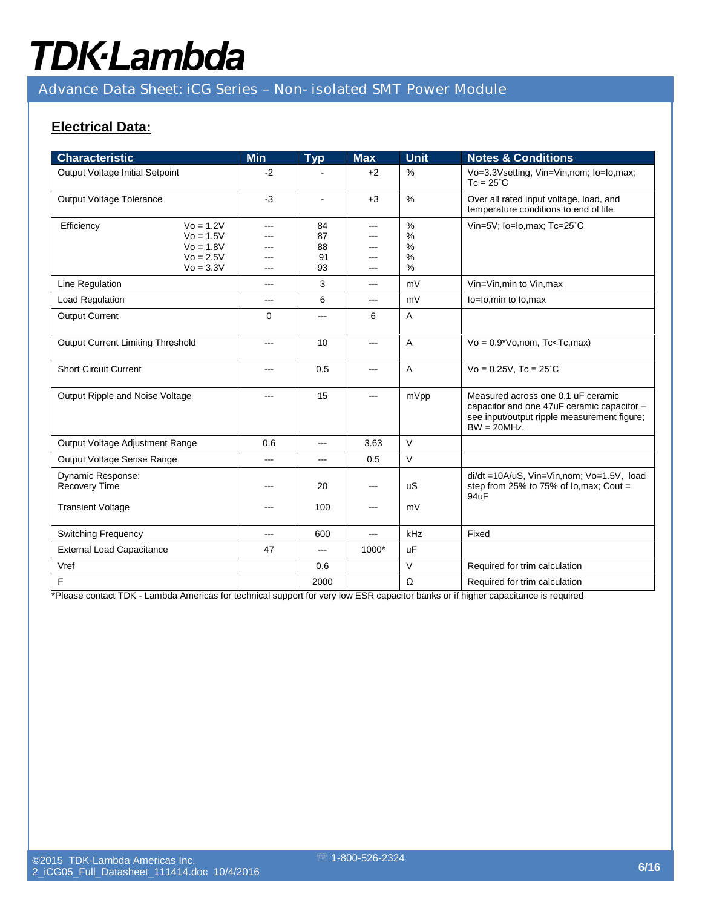Advance Data Sheet: iCG Series – Non-isolated SMT Power Module

## **Electrical Data:**

| <b>Characteristic</b>                     |                                                                         | <b>Min</b>                                            | <b>Typ</b>                 | <b>Max</b>                                     | <b>Unit</b>                 | <b>Notes &amp; Conditions</b>                                                                                                                     |
|-------------------------------------------|-------------------------------------------------------------------------|-------------------------------------------------------|----------------------------|------------------------------------------------|-----------------------------|---------------------------------------------------------------------------------------------------------------------------------------------------|
| Output Voltage Initial Setpoint           |                                                                         | $-2$                                                  |                            | $+2$                                           | $\frac{0}{0}$               | Vo=3.3Vsetting, Vin=Vin, nom; lo=lo, max;<br>$Tc = 25^{\circ}C$                                                                                   |
| Output Voltage Tolerance                  |                                                                         | $-3$                                                  | $\blacksquare$             | $+3$                                           | $\%$                        | Over all rated input voltage, load, and<br>temperature conditions to end of life                                                                  |
| Efficiency                                | $Vo = 1.2V$<br>$Vo = 1.5V$<br>$Vo = 1.8V$<br>$Vo = 2.5V$<br>$Vo = 3.3V$ | $\qquad \qquad -\qquad -$<br>---<br>---<br>---<br>--- | 84<br>87<br>88<br>91<br>93 | $\overline{a}$<br>---<br>---<br>$- - -$<br>--- | $\%$<br>%<br>%<br>%<br>$\%$ | Vin=5V; Io=Io, max; Tc=25°C                                                                                                                       |
| Line Regulation                           |                                                                         | $-$ - $-$                                             | 3                          | $-$ - $-$                                      | mV                          | Vin=Vin, min to Vin, max                                                                                                                          |
| Load Regulation                           |                                                                         | ---                                                   | 6                          | $\overline{a}$                                 | mV                          | lo=lo, min to lo, max                                                                                                                             |
| <b>Output Current</b>                     |                                                                         | 0                                                     | $\cdots$                   | 6                                              | Α                           |                                                                                                                                                   |
| <b>Output Current Limiting Threshold</b>  |                                                                         | $---$                                                 | 10                         | $\overline{a}$                                 | $\overline{A}$              | $Vo = 0.9*Vo$ , nom, Tc <tc, max)<="" td=""></tc,>                                                                                                |
| <b>Short Circuit Current</b>              |                                                                         | $\overline{a}$                                        | 0.5                        | $\overline{a}$                                 | $\overline{A}$              | $Vo = 0.25V$ , Tc = $25^{\circ}C$                                                                                                                 |
| Output Ripple and Noise Voltage           |                                                                         | ---                                                   | 15                         | $- - -$                                        | mVpp                        | Measured across one 0.1 uF ceramic<br>capacitor and one 47uF ceramic capacitor -<br>see input/output ripple measurement figure;<br>$BW = 20MHz$ . |
| Output Voltage Adjustment Range           |                                                                         | 0.6                                                   | $\cdots$                   | 3.63                                           | $\vee$                      |                                                                                                                                                   |
| Output Voltage Sense Range                |                                                                         | $\overline{a}$                                        | $\cdots$                   | 0.5                                            | $\vee$                      |                                                                                                                                                   |
| Dynamic Response:<br><b>Recovery Time</b> |                                                                         | ---                                                   | 20                         | $---$                                          | <b>uS</b>                   | di/dt =10A/uS, Vin=Vin, nom; Vo=1.5V, load<br>step from 25% to 75% of $Io,max$ ; Cout =<br>94uF                                                   |
| <b>Transient Voltage</b>                  |                                                                         | $---$                                                 | 100                        | $---$                                          | mV                          |                                                                                                                                                   |
| <b>Switching Frequency</b>                |                                                                         | ---                                                   | 600                        | $\overline{a}$                                 | kHz                         | Fixed                                                                                                                                             |
| <b>External Load Capacitance</b>          |                                                                         | 47                                                    | $\cdots$                   | 1000*                                          | <b>uF</b>                   |                                                                                                                                                   |
| Vref                                      |                                                                         |                                                       | 0.6                        |                                                | V                           | Required for trim calculation                                                                                                                     |
| F                                         |                                                                         |                                                       | 2000                       |                                                | Ω                           | Required for trim calculation                                                                                                                     |

\*Please contact TDK - Lambda Americas for technical support for very low ESR capacitor banks or if higher capacitance is required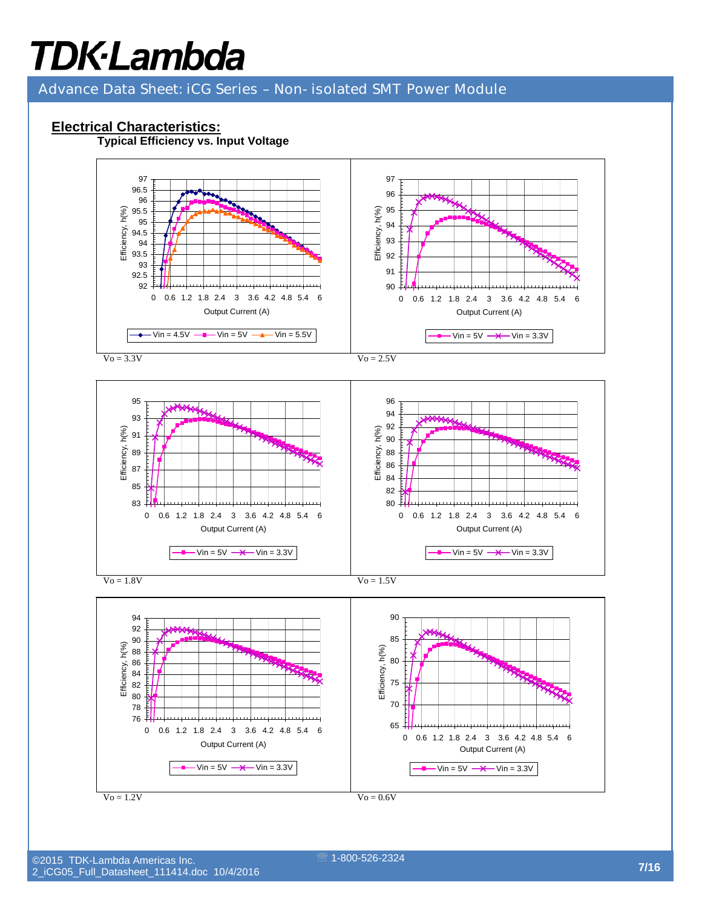Advance Data Sheet: iCG Series – Non-isolated SMT Power Module

## **Electrical Characteristics:**

**Typical Efficiency vs. Input Voltage** 



■ 1-800-526-2324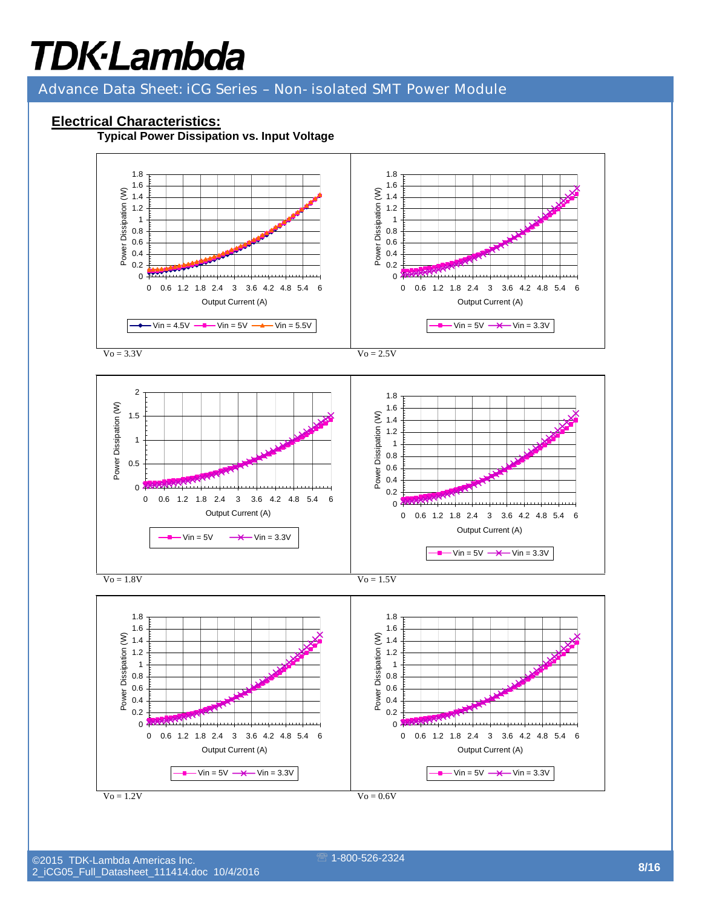## Advance Data Sheet: iCG Series – Non-isolated SMT Power Module

## **Electrical Characteristics:**

**Typical Power Dissipation vs. Input Voltage** 



■ 1-800-526-2324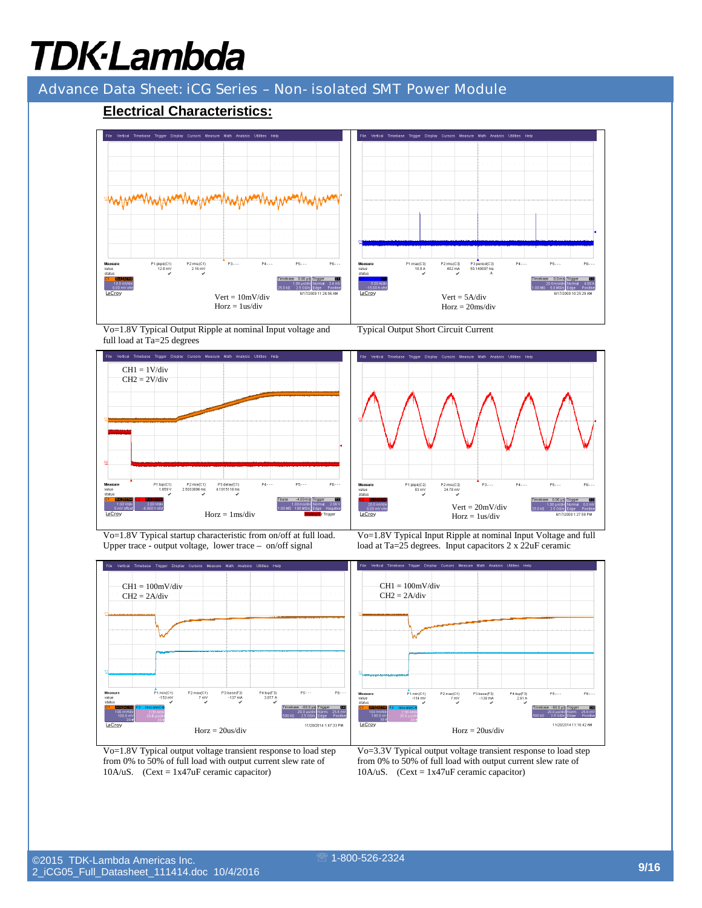## Advance Data Sheet: iCG Series – Non-isolated SMT Power Module

## **Electrical Characteristics:**





Vo=1.8V Typical Output Ripple at nominal Input voltage and full load at Ta=25 degrees



Vo=1.8V Typical startup characteristic from on/off at full load. Upper trace - output voltage, lower trace – on/off signal



Vo=1.8V Typical output voltage transient response to load step from 0% to 50% of full load with output current slew rate of 10A/uS.  $(Cext = 1x47uF$  ceramic capacitor)

Typical Output Short Circuit Current



Vo=1.8V Typical Input Ripple at nominal Input Voltage and full load at Ta=25 degrees. Input capacitors 2 x 22uF ceramic



Vo=3.3V Typical output voltage transient response to load step from 0% to 50% of full load with output current slew rate of 10A/uS.  $(Cext = 1x47uF)$  ceramic capacitor)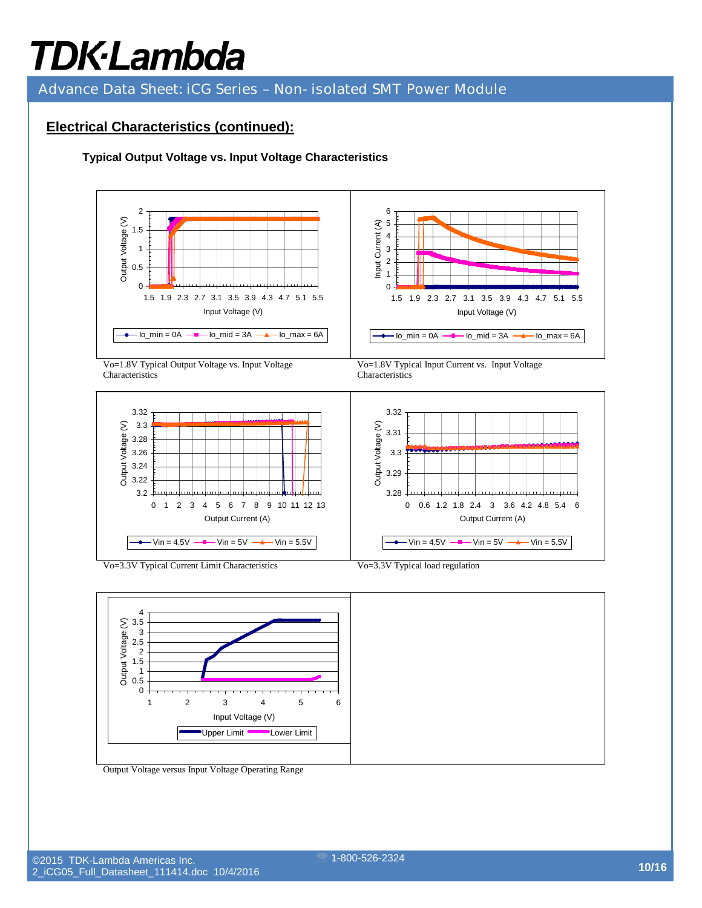Advance Data Sheet: iCG Series – Non-isolated SMT Power Module

## **Electrical Characteristics (continued):**

### **Typical Output Voltage vs. Input Voltage Characteristics**



Vo=1.8V Typical Output Voltage vs. Input Voltage Characteristics













Output Voltage versus Input Voltage Operating Range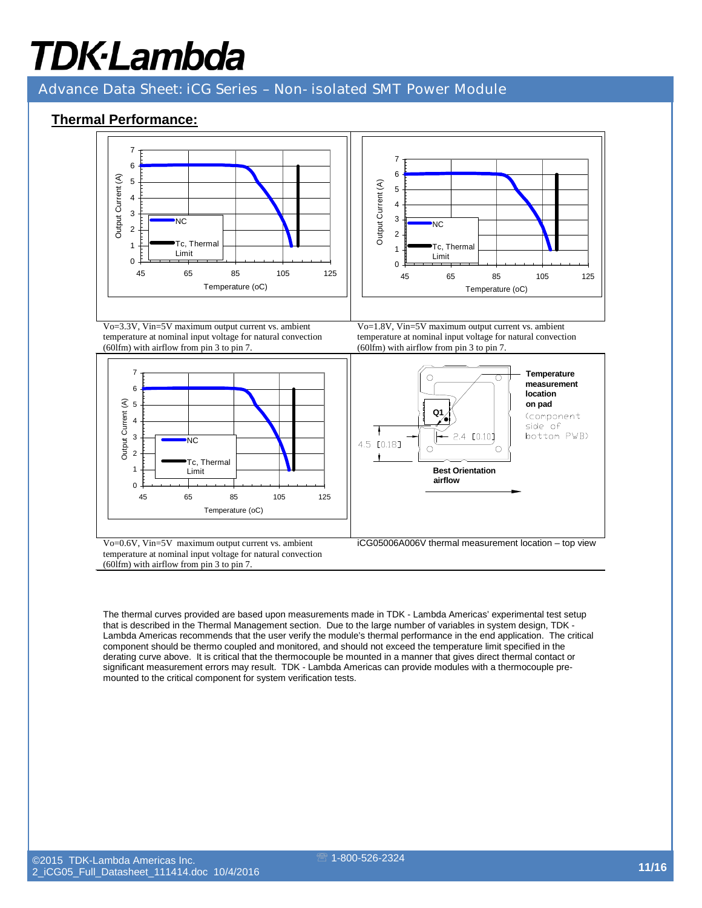### Advance Data Sheet: iCG Series - Non-isolated SMT Power Module

### **Thermal Performance:**

 $\Omega$ 1 2

> 45 65 85 105 125 Temperature (oC)

Tc, Thermal Limit

Vo=0.6V, Vin=5V maximum output current vs. ambient temperature at nominal input voltage for natural convection

(60lfm) with airflow from pin 3 to pin 7.



The thermal curves provided are based upon measurements made in TDK - Lambda Americas' experimental test setup that is described in the Thermal Management section. Due to the large number of variables in system design, TDK - Lambda Americas recommends that the user verify the module's thermal performance in the end application. The critical component should be thermo coupled and monitored, and should not exceed the temperature limit specified in the derating curve above. It is critical that the thermocouple be mounted in a manner that gives direct thermal contact or significant measurement errors may result. TDK - Lambda Americas can provide modules with a thermocouple premounted to the critical component for system verification tests.

4.5 [0.18]

-1

**Best Orientation airflow**

 $\cap$ 

 $\circ$ 

iCG05006A006V thermal measurement location – top view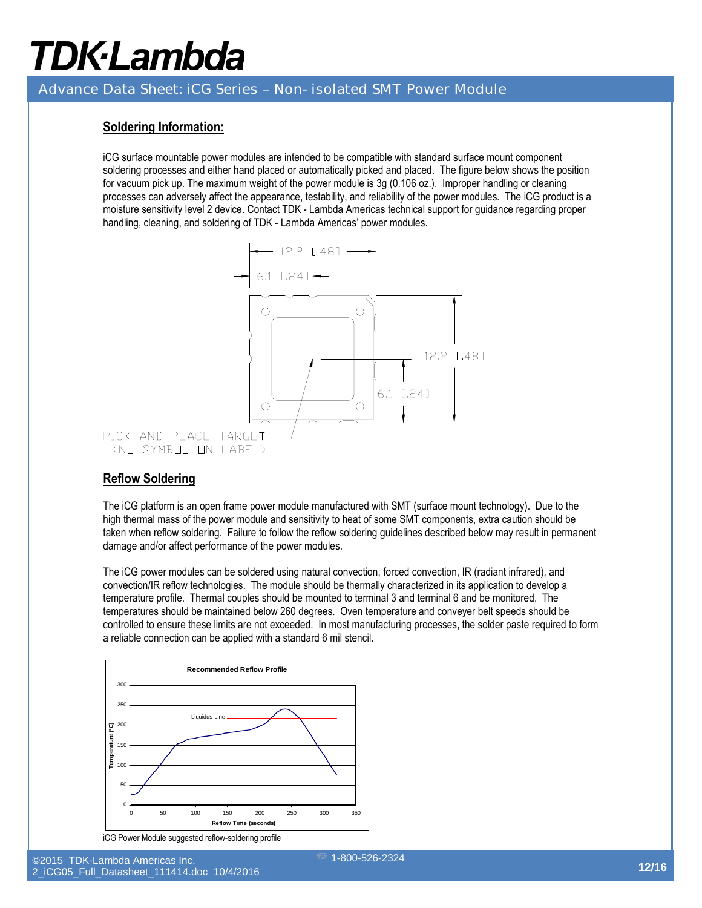### Advance Data Sheet: iCG Series – Non-isolated SMT Power Module

#### **Soldering Information:**

iCG surface mountable power modules are intended to be compatible with standard surface mount component soldering processes and either hand placed or automatically picked and placed. The figure below shows the position for vacuum pick up. The maximum weight of the power module is 3g (0.106 oz.). Improper handling or cleaning processes can adversely affect the appearance, testability, and reliability of the power modules. The iCG product is a moisture sensitivity level 2 device. Contact TDK - Lambda Americas technical support for guidance regarding proper handling, cleaning, and soldering of TDK - Lambda Americas' power modules.



#### **Reflow Soldering**

The iCG platform is an open frame power module manufactured with SMT (surface mount technology). Due to the high thermal mass of the power module and sensitivity to heat of some SMT components, extra caution should be taken when reflow soldering. Failure to follow the reflow soldering guidelines described below may result in permanent damage and/or affect performance of the power modules.

The iCG power modules can be soldered using natural convection, forced convection, IR (radiant infrared), and convection/IR reflow technologies. The module should be thermally characterized in its application to develop a temperature profile. Thermal couples should be mounted to terminal 3 and terminal 6 and be monitored. The temperatures should be maintained below 260 degrees. Oven temperature and conveyer belt speeds should be controlled to ensure these limits are not exceeded. In most manufacturing processes, the solder paste required to form a reliable connection can be applied with a standard 6 mil stencil.



©2015 TDK-Lambda Americas Inc. 2\_iCG05\_Full\_Datasheet\_111414.doc 10/4/2016 ℡ 1-800-526-2324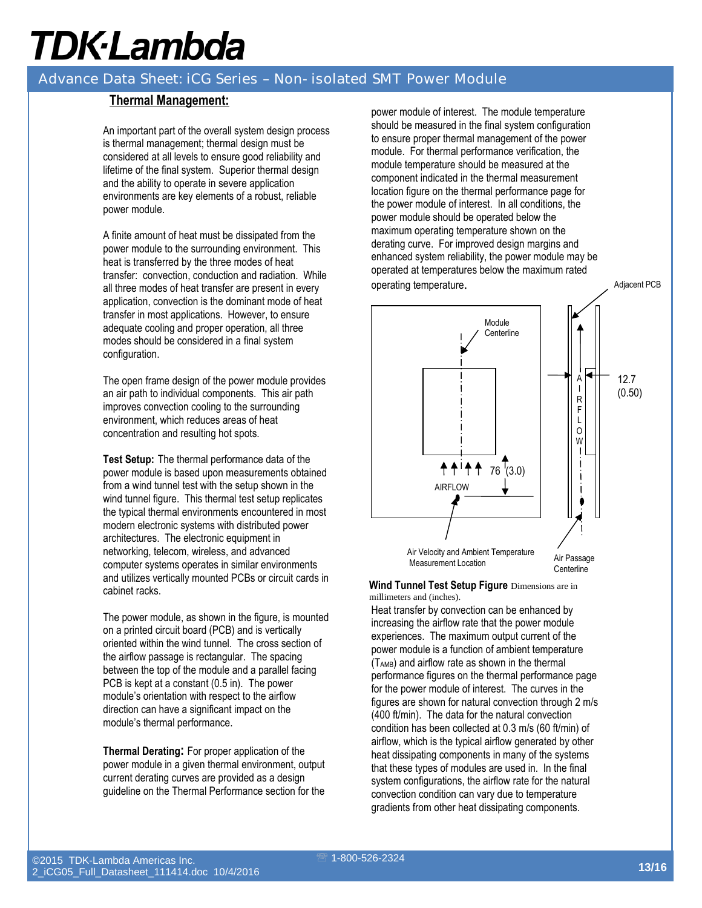## Advance Data Sheet: iCG Series – Non-isolated SMT Power Module

### **Thermal Management:**

An important part of the overall system design process is thermal management; thermal design must be considered at all levels to ensure good reliability and lifetime of the final system. Superior thermal design and the ability to operate in severe application environments are key elements of a robust, reliable power module.

A finite amount of heat must be dissipated from the power module to the surrounding environment. This heat is transferred by the three modes of heat transfer: convection, conduction and radiation. While all three modes of heat transfer are present in every application, convection is the dominant mode of heat transfer in most applications. However, to ensure adequate cooling and proper operation, all three modes should be considered in a final system configuration.

The open frame design of the power module provides an air path to individual components. This air path improves convection cooling to the surrounding environment, which reduces areas of heat concentration and resulting hot spots.

**Test Setup:** The thermal performance data of the power module is based upon measurements obtained from a wind tunnel test with the setup shown in the wind tunnel figure. This thermal test setup replicates the typical thermal environments encountered in most modern electronic systems with distributed power architectures. The electronic equipment in networking, telecom, wireless, and advanced computer systems operates in similar environments and utilizes vertically mounted PCBs or circuit cards in cabinet racks.

The power module, as shown in the figure, is mounted on a printed circuit board (PCB) and is vertically oriented within the wind tunnel. The cross section of the airflow passage is rectangular. The spacing between the top of the module and a parallel facing PCB is kept at a constant (0.5 in). The power module's orientation with respect to the airflow direction can have a significant impact on the module's thermal performance.

**Thermal Derating:** For proper application of the power module in a given thermal environment, output current derating curves are provided as a design guideline on the Thermal Performance section for the

power module of interest. The module temperature should be measured in the final system configuration to ensure proper thermal management of the power module. For thermal performance verification, the module temperature should be measured at the component indicated in the thermal measurement location figure on the thermal performance page for the power module of interest. In all conditions, the power module should be operated below the maximum operating temperature shown on the derating curve. For improved design margins and enhanced system reliability, the power module may be operated at temperatures below the maximum rated operating temperature.



**Wind Tunnel Test Setup Figure** Dimensions are in millimeters and (inches).

Heat transfer by convection can be enhanced by increasing the airflow rate that the power module experiences. The maximum output current of the power module is a function of ambient temperature (TAMB) and airflow rate as shown in the thermal performance figures on the thermal performance page for the power module of interest. The curves in the figures are shown for natural convection through 2 m/s (400 ft/min). The data for the natural convection condition has been collected at 0.3 m/s (60 ft/min) of airflow, which is the typical airflow generated by other heat dissipating components in many of the systems that these types of modules are used in. In the final system configurations, the airflow rate for the natural convection condition can vary due to temperature gradients from other heat dissipating components.

Adjacent PCB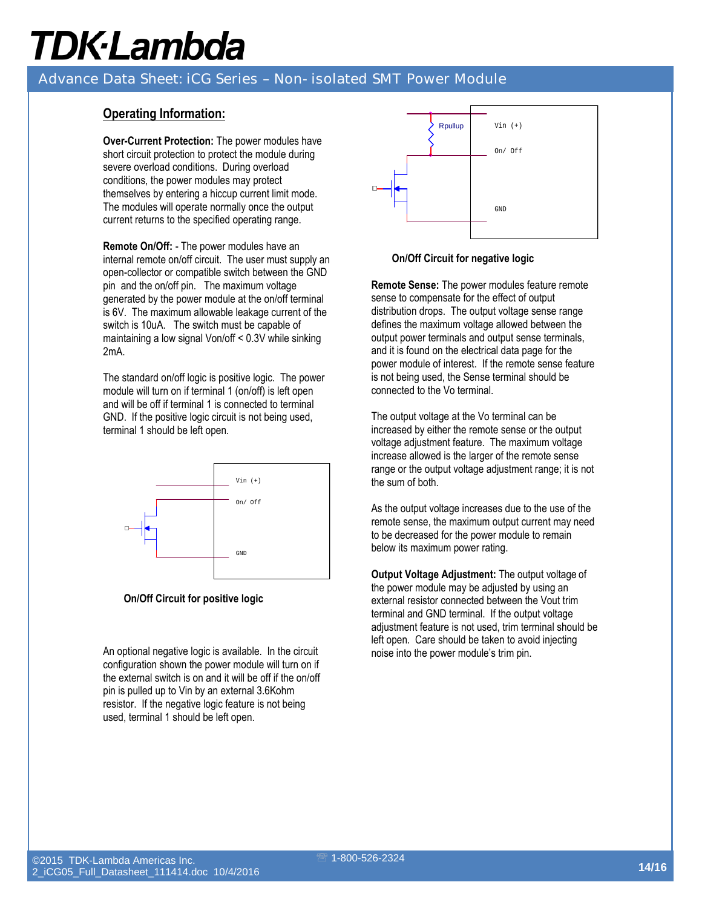### Advance Data Sheet: iCG Series – Non-isolated SMT Power Module

### **Operating Information:**

**Over-Current Protection:** The power modules have short circuit protection to protect the module during severe overload conditions. During overload conditions, the power modules may protect themselves by entering a hiccup current limit mode. The modules will operate normally once the output current returns to the specified operating range.

**Remote On/Off:** - The power modules have an internal remote on/off circuit. The user must supply an open-collector or compatible switch between the GND pin and the on/off pin. The maximum voltage generated by the power module at the on/off terminal is 6V. The maximum allowable leakage current of the switch is 10uA. The switch must be capable of maintaining a low signal Von/off < 0.3V while sinking 2mA.

The standard on/off logic is positive logic. The power module will turn on if terminal 1 (on/off) is left open and will be off if terminal 1 is connected to terminal GND. If the positive logic circuit is not being used, terminal 1 should be left open.



#### **On/Off Circuit for positive logic**

An optional negative logic is available. In the circuit configuration shown the power module will turn on if the external switch is on and it will be off if the on/off pin is pulled up to Vin by an external 3.6Kohm resistor. If the negative logic feature is not being used, terminal 1 should be left open.



#### **On/Off Circuit for negative logic**

**Remote Sense:** The power modules feature remote sense to compensate for the effect of output distribution drops. The output voltage sense range defines the maximum voltage allowed between the output power terminals and output sense terminals, and it is found on the electrical data page for the power module of interest. If the remote sense feature is not being used, the Sense terminal should be connected to the Vo terminal.

The output voltage at the Vo terminal can be increased by either the remote sense or the output voltage adjustment feature. The maximum voltage increase allowed is the larger of the remote sense range or the output voltage adjustment range; it is not the sum of both.

As the output voltage increases due to the use of the remote sense, the maximum output current may need to be decreased for the power module to remain below its maximum power rating.

**Output Voltage Adjustment:** The output voltage of the power module may be adjusted by using an external resistor connected between the Vout trim terminal and GND terminal. If the output voltage adjustment feature is not used, trim terminal should be left open. Care should be taken to avoid injecting noise into the power module's trim pin.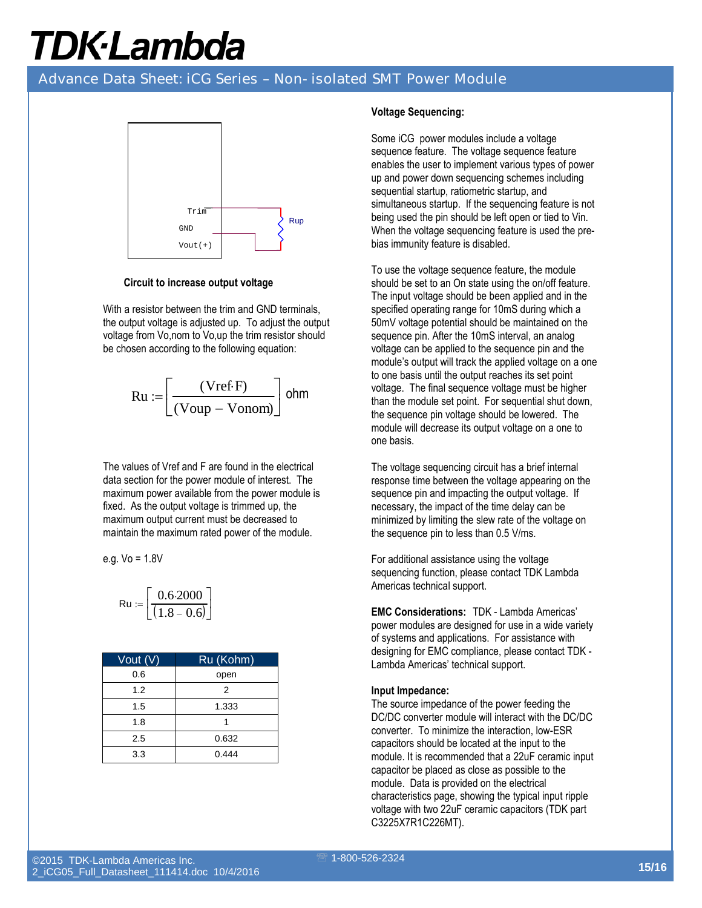### Advance Data Sheet: iCG Series – Non-isolated SMT Power Module



#### **Circuit to increase output voltage**

With a resistor between the trim and GND terminals, the output voltage is adjusted up. To adjust the output voltage from Vo,nom to Vo,up the trim resistor should be chosen according to the following equation:

$$
Ru:=\!\!\left[\frac{(Vref\!\cdot\!F)}{(Voup-Vonom)}\right]\text{ohm}
$$

The values of Vref and F are found in the electrical data section for the power module of interest. The maximum power available from the power module is fixed. As the output voltage is trimmed up, the maximum output current must be decreased to maintain the maximum rated power of the module.

e.g. 
$$
V_0 = 1.8V
$$

$$
Ru := \left[\frac{0.6 \cdot 2000}{(1.8 - 0.6)}\right]
$$

| Vout $(V)$ | Ru (Kohm) |
|------------|-----------|
| 0.6        | open      |
| 1.2        | 2         |
| 1.5        | 1.333     |
| 1.8        |           |
| 2.5        | 0.632     |
| 3.3        | 0.444     |

#### **Voltage Sequencing:**

Some iCG power modules include a voltage sequence feature. The voltage sequence feature enables the user to implement various types of power up and power down sequencing schemes including sequential startup, ratiometric startup, and simultaneous startup. If the sequencing feature is not being used the pin should be left open or tied to Vin. When the voltage sequencing feature is used the prebias immunity feature is disabled.

To use the voltage sequence feature, the module should be set to an On state using the on/off feature. The input voltage should be been applied and in the specified operating range for 10mS during which a 50mV voltage potential should be maintained on the sequence pin. After the 10mS interval, an analog voltage can be applied to the sequence pin and the module's output will track the applied voltage on a one to one basis until the output reaches its set point voltage. The final sequence voltage must be higher than the module set point. For sequential shut down, the sequence pin voltage should be lowered. The module will decrease its output voltage on a one to one basis.

The voltage sequencing circuit has a brief internal response time between the voltage appearing on the sequence pin and impacting the output voltage. If necessary, the impact of the time delay can be minimized by limiting the slew rate of the voltage on the sequence pin to less than 0.5 V/ms.

For additional assistance using the voltage sequencing function, please contact TDK Lambda Americas technical support.

**EMC Considerations:** TDK - Lambda Americas' power modules are designed for use in a wide variety of systems and applications. For assistance with designing for EMC compliance, please contact TDK - Lambda Americas' technical support.

#### **Input Impedance:**

The source impedance of the power feeding the DC/DC converter module will interact with the DC/DC converter. To minimize the interaction, low-ESR capacitors should be located at the input to the module. It is recommended that a 22uF ceramic input capacitor be placed as close as possible to the module. Data is provided on the electrical characteristics page, showing the typical input ripple voltage with two 22uF ceramic capacitors (TDK part C3225X7R1C226MT).